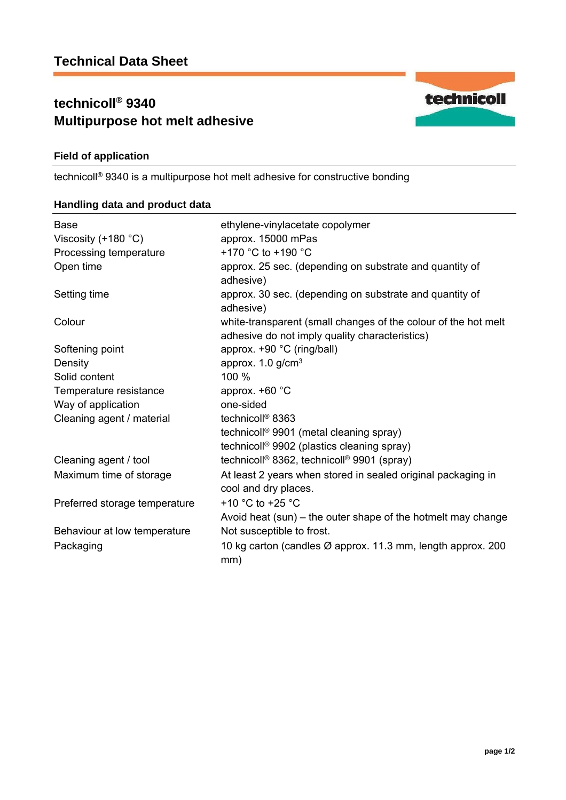# **technicoll® 9340 Multipurpose hot melt adhesive**



technicoll® 9340 is a multipurpose hot melt adhesive for constructive bonding

## **Handling data and product data**

| <b>Base</b>                   | ethylene-vinylacetate copolymer                                      |
|-------------------------------|----------------------------------------------------------------------|
| Viscosity (+180 °C)           | approx. 15000 mPas<br>+170 °C to +190 °C                             |
| Processing temperature        |                                                                      |
| Open time                     | approx. 25 sec. (depending on substrate and quantity of<br>adhesive) |
| Setting time                  | approx. 30 sec. (depending on substrate and quantity of<br>adhesive) |
| Colour                        | white-transparent (small changes of the colour of the hot melt       |
|                               | adhesive do not imply quality characteristics)                       |
| Softening point               | approx. +90 °C (ring/ball)                                           |
| Density                       | approx. $1.0$ g/cm <sup>3</sup>                                      |
| Solid content                 | 100 %                                                                |
| Temperature resistance        | approx. $+60$ °C                                                     |
| Way of application            | one-sided                                                            |
| Cleaning agent / material     | technicoll <sup>®</sup> 8363                                         |
|                               | technicoll <sup>®</sup> 9901 (metal cleaning spray)                  |
|                               | technicoll <sup>®</sup> 9902 (plastics cleaning spray)               |
| Cleaning agent / tool         | technicoll <sup>®</sup> 8362, technicoll <sup>®</sup> 9901 (spray)   |
| Maximum time of storage       | At least 2 years when stored in sealed original packaging in         |
|                               | cool and dry places.                                                 |
| Preferred storage temperature | +10 $^{\circ}$ C to +25 $^{\circ}$ C                                 |
|                               | Avoid heat (sun) – the outer shape of the hotmelt may change         |
| Behaviour at low temperature  | Not susceptible to frost.                                            |
| Packaging                     | 10 kg carton (candles Ø approx. 11.3 mm, length approx. 200<br>mm)   |